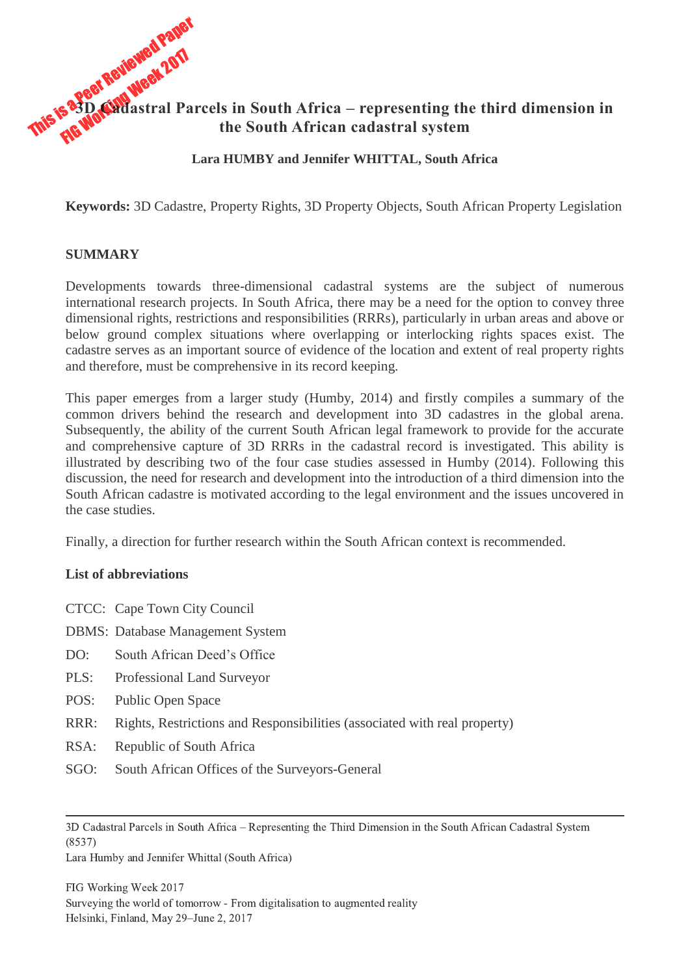# This is a Peer Reviewed Paper **3D Cadastral Parcels in South Africa – representing the third dimension in the South African cadastral system**

#### **Lara HUMBY and Jennifer WHITTAL, South Africa**

**Keywords:** 3D Cadastre, Property Rights, 3D Property Objects, South African Property Legislation

#### **SUMMARY**

Developments towards three-dimensional cadastral systems are the subject of numerous international research projects. In South Africa, there may be a need for the option to convey three dimensional rights, restrictions and responsibilities (RRRs), particularly in urban areas and above or below ground complex situations where overlapping or interlocking rights spaces exist. The cadastre serves as an important source of evidence of the location and extent of real property rights and therefore, must be comprehensive in its record keeping.

This paper emerges from a larger study (Humby, 2014) and firstly compiles a summary of the common drivers behind the research and development into 3D cadastres in the global arena. Subsequently, the ability of the current South African legal framework to provide for the accurate and comprehensive capture of 3D RRRs in the cadastral record is investigated. This ability is illustrated by describing two of the four case studies assessed in Humby (2014). Following this discussion, the need for research and development into the introduction of a third dimension into the South African cadastre is motivated according to the legal environment and the issues uncovered in the case studies.

Finally, a direction for further research within the South African context is recommended.

#### **List of abbreviations**

|  |  | CTCC: Cape Town City Council |
|--|--|------------------------------|
|  |  |                              |

- DBMS: Database Management System
- DO: South African Deed's Office
- PLS: Professional Land Surveyor
- POS: Public Open Space
- RRR: Rights, Restrictions and Responsibilities (associated with real property)
- RSA: Republic of South Africa
- SGO: South African Offices of the Surveyors-General

3D Cadastral Parcels in South Africa – Representing the Third Dimension in the South African Cadastral System (8537)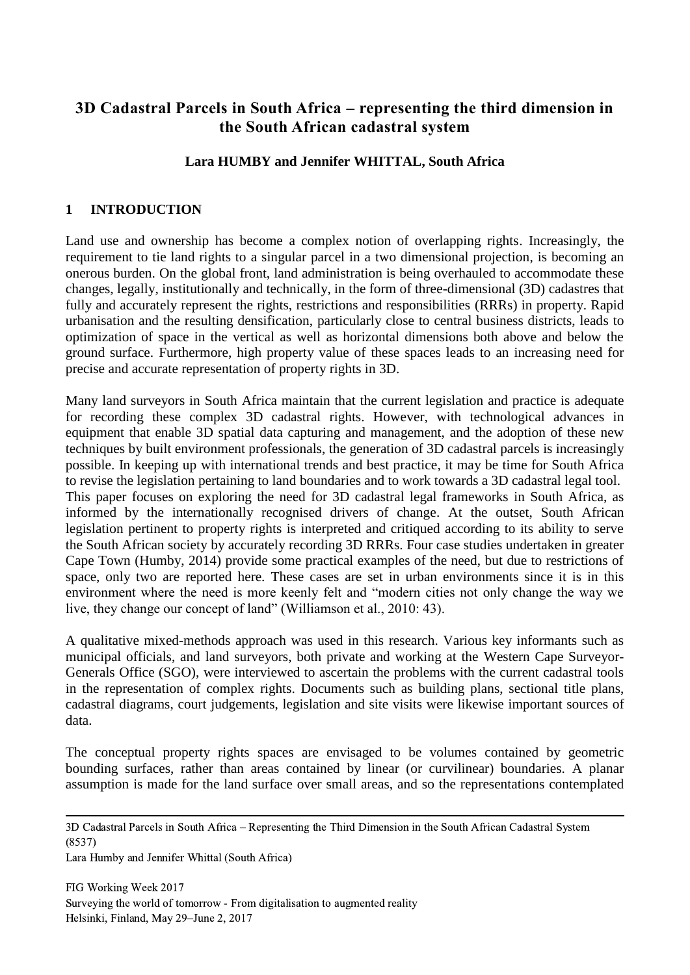# **3D Cadastral Parcels in South Africa – representing the third dimension in the South African cadastral system**

# **Lara HUMBY and Jennifer WHITTAL, South Africa**

#### **1 INTRODUCTION**

Land use and ownership has become a complex notion of overlapping rights. Increasingly, the requirement to tie land rights to a singular parcel in a two dimensional projection, is becoming an onerous burden. On the global front, land administration is being overhauled to accommodate these changes, legally, institutionally and technically, in the form of three-dimensional (3D) cadastres that fully and accurately represent the rights, restrictions and responsibilities (RRRs) in property. Rapid urbanisation and the resulting densification, particularly close to central business districts, leads to optimization of space in the vertical as well as horizontal dimensions both above and below the ground surface. Furthermore, high property value of these spaces leads to an increasing need for precise and accurate representation of property rights in 3D.

Many land surveyors in South Africa maintain that the current legislation and practice is adequate for recording these complex 3D cadastral rights. However, with technological advances in equipment that enable 3D spatial data capturing and management, and the adoption of these new techniques by built environment professionals, the generation of 3D cadastral parcels is increasingly possible. In keeping up with international trends and best practice, it may be time for South Africa to revise the legislation pertaining to land boundaries and to work towards a 3D cadastral legal tool. This paper focuses on exploring the need for 3D cadastral legal frameworks in South Africa, as informed by the internationally recognised drivers of change. At the outset, South African legislation pertinent to property rights is interpreted and critiqued according to its ability to serve the South African society by accurately recording 3D RRRs. Four case studies undertaken in greater Cape Town (Humby, 2014) provide some practical examples of the need, but due to restrictions of space, only two are reported here. These cases are set in urban environments since it is in this environment where the need is more keenly felt and "modern cities not only change the way we live, they change our concept of land" (Williamson et al., 2010: 43).

A qualitative mixed-methods approach was used in this research. Various key informants such as municipal officials, and land surveyors, both private and working at the Western Cape Surveyor-Generals Office (SGO), were interviewed to ascertain the problems with the current cadastral tools in the representation of complex rights. Documents such as building plans, sectional title plans, cadastral diagrams, court judgements, legislation and site visits were likewise important sources of data.

The conceptual property rights spaces are envisaged to be volumes contained by geometric bounding surfaces, rather than areas contained by linear (or curvilinear) boundaries. A planar assumption is made for the land surface over small areas, and so the representations contemplated

<sup>3</sup>D Cadastral Parcels in South Africa – Representing the Third Dimension in the South African Cadastral System (8537)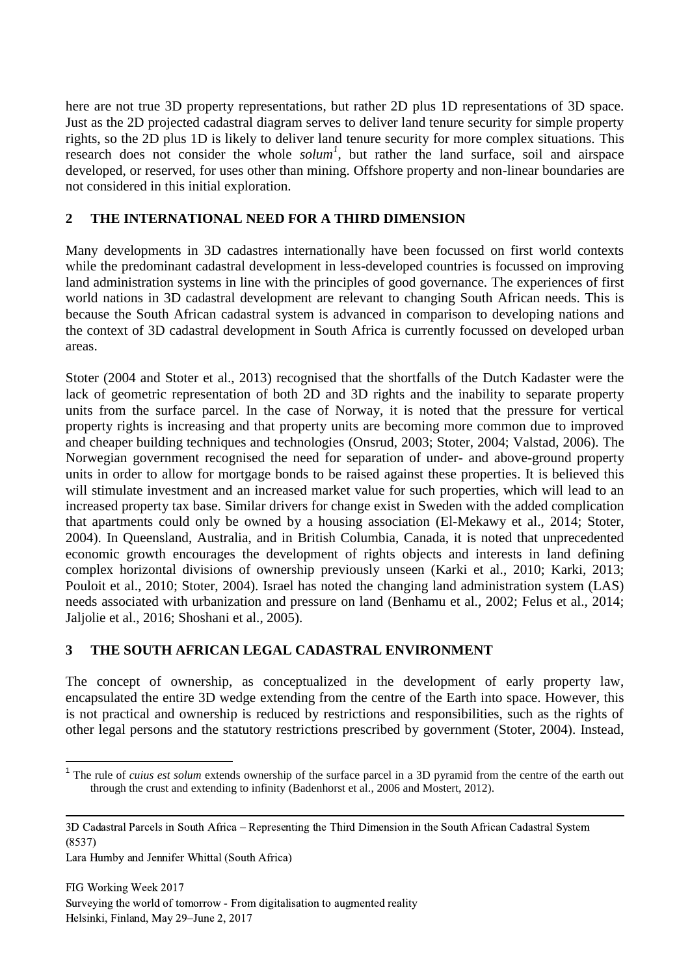here are not true 3D property representations, but rather 2D plus 1D representations of 3D space. Just as the 2D projected cadastral diagram serves to deliver land tenure security for simple property rights, so the 2D plus 1D is likely to deliver land tenure security for more complex situations. This research does not consider the whole *solum<sup>1</sup>* , but rather the land surface, soil and airspace developed, or reserved, for uses other than mining. Offshore property and non-linear boundaries are not considered in this initial exploration.

# **2 THE INTERNATIONAL NEED FOR A THIRD DIMENSION**

Many developments in 3D cadastres internationally have been focussed on first world contexts while the predominant cadastral development in less-developed countries is focussed on improving land administration systems in line with the principles of good governance. The experiences of first world nations in 3D cadastral development are relevant to changing South African needs. This is because the South African cadastral system is advanced in comparison to developing nations and the context of 3D cadastral development in South Africa is currently focussed on developed urban areas.

Stoter (2004 and Stoter et al., 2013) recognised that the shortfalls of the Dutch Kadaster were the lack of geometric representation of both 2D and 3D rights and the inability to separate property units from the surface parcel. In the case of Norway, it is noted that the pressure for vertical property rights is increasing and that property units are becoming more common due to improved and cheaper building techniques and technologies (Onsrud, 2003; Stoter, 2004; Valstad, 2006). The Norwegian government recognised the need for separation of under- and above-ground property units in order to allow for mortgage bonds to be raised against these properties. It is believed this will stimulate investment and an increased market value for such properties, which will lead to an increased property tax base. Similar drivers for change exist in Sweden with the added complication that apartments could only be owned by a housing association (El-Mekawy et al., 2014; Stoter, 2004). In Queensland, Australia, and in British Columbia, Canada, it is noted that unprecedented economic growth encourages the development of rights objects and interests in land defining complex horizontal divisions of ownership previously unseen (Karki et al., 2010; Karki, 2013; Pouloit et al., 2010; Stoter, 2004). Israel has noted the changing land administration system (LAS) needs associated with urbanization and pressure on land (Benhamu et al., 2002; Felus et al., 2014; Jaljolie et al., 2016; Shoshani et al., 2005).

# **3 THE SOUTH AFRICAN LEGAL CADASTRAL ENVIRONMENT**

The concept of ownership, as conceptualized in the development of early property law, encapsulated the entire 3D wedge extending from the centre of the Earth into space. However, this is not practical and ownership is reduced by restrictions and responsibilities, such as the rights of other legal persons and the statutory restrictions prescribed by government (Stoter, 2004). Instead,

<sup>&</sup>lt;sup>1</sup> The rule of *cuius est solum* extends ownership of the surface parcel in a 3D pyramid from the centre of the earth out through the crust and extending to infinity (Badenhorst et al., 2006 and Mostert, 2012).

<sup>3</sup>D Cadastral Parcels in South Africa – Representing the Third Dimension in the South African Cadastral System (8537)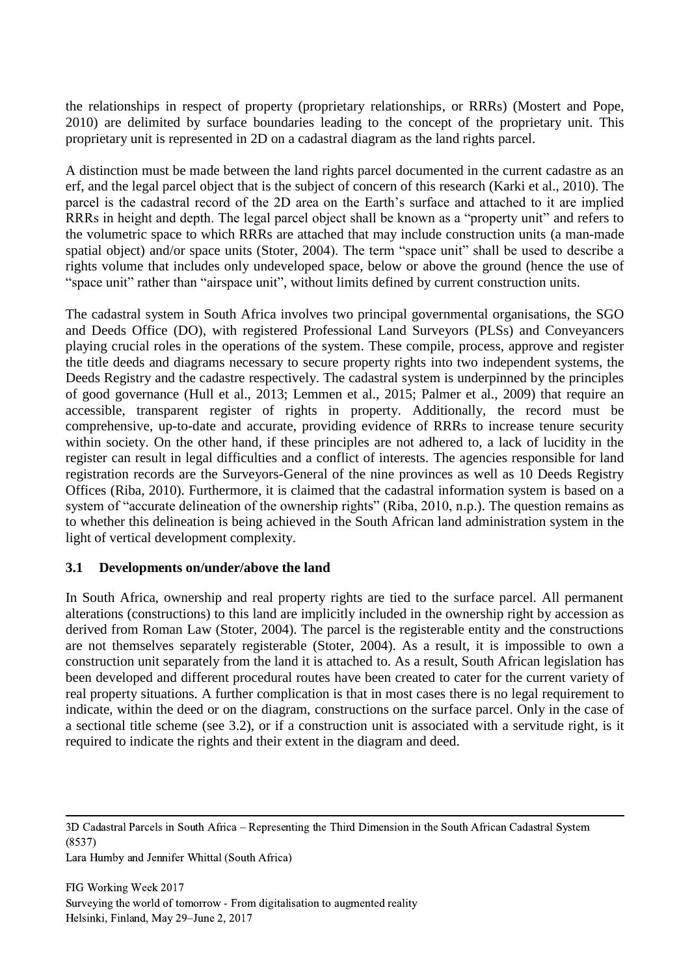the relationships in respect of property (proprietary relationships, or RRRs) (Mostert and Pope, 2010) are delimited by surface boundaries leading to the concept of the proprietary unit. This proprietary unit is represented in 2D on a cadastral diagram as the land rights parcel.

A distinction must be made between the land rights parcel documented in the current cadastre as an erf, and the legal parcel object that is the subject of concern of this research (Karki et al., 2010). The parcel is the cadastral record of the 2D area on the Earth's surface and attached to it are implied RRRs in height and depth. The legal parcel object shall be known as a "property unit" and refers to the volumetric space to which RRRs are attached that may include construction units (a man-made spatial object) and/or space units (Stoter, 2004). The term "space unit" shall be used to describe a rights volume that includes only undeveloped space, below or above the ground (hence the use of "space unit" rather than "airspace unit", without limits defined by current construction units.

The cadastral system in South Africa involves two principal governmental organisations, the SGO and Deeds Office (DO), with registered Professional Land Surveyors (PLSs) and Conveyancers playing crucial roles in the operations of the system. These compile, process, approve and register the title deeds and diagrams necessary to secure property rights into two independent systems, the Deeds Registry and the cadastre respectively. The cadastral system is underpinned by the principles of good governance (Hull et al., 2013; Lemmen et al., 2015; Palmer et al., 2009) that require an accessible, transparent register of rights in property. Additionally, the record must be comprehensive, up-to-date and accurate, providing evidence of RRRs to increase tenure security within society. On the other hand, if these principles are not adhered to, a lack of lucidity in the register can result in legal difficulties and a conflict of interests. The agencies responsible for land registration records are the Surveyors-General of the nine provinces as well as 10 Deeds Registry Offices (Riba, 2010). Furthermore, it is claimed that the cadastral information system is based on a system of "accurate delineation of the ownership rights" (Riba, 2010, n.p.). The question remains as to whether this delineation is being achieved in the South African land administration system in the light of vertical development complexity.

# **3.1 Developments on/under/above the land**

In South Africa, ownership and real property rights are tied to the surface parcel. All permanent alterations (constructions) to this land are implicitly included in the ownership right by accession as derived from Roman Law (Stoter, 2004). The parcel is the registerable entity and the constructions are not themselves separately registerable (Stoter, 2004). As a result, it is impossible to own a construction unit separately from the land it is attached to. As a result, South African legislation has been developed and different procedural routes have been created to cater for the current variety of real property situations. A further complication is that in most cases there is no legal requirement to indicate, within the deed or on the diagram, constructions on the surface parcel. Only in the case of a sectional title scheme (see 3.2), or if a construction unit is associated with a servitude right, is it required to indicate the rights and their extent in the diagram and deed.

<sup>3</sup>D Cadastral Parcels in South Africa – Representing the Third Dimension in the South African Cadastral System (8537)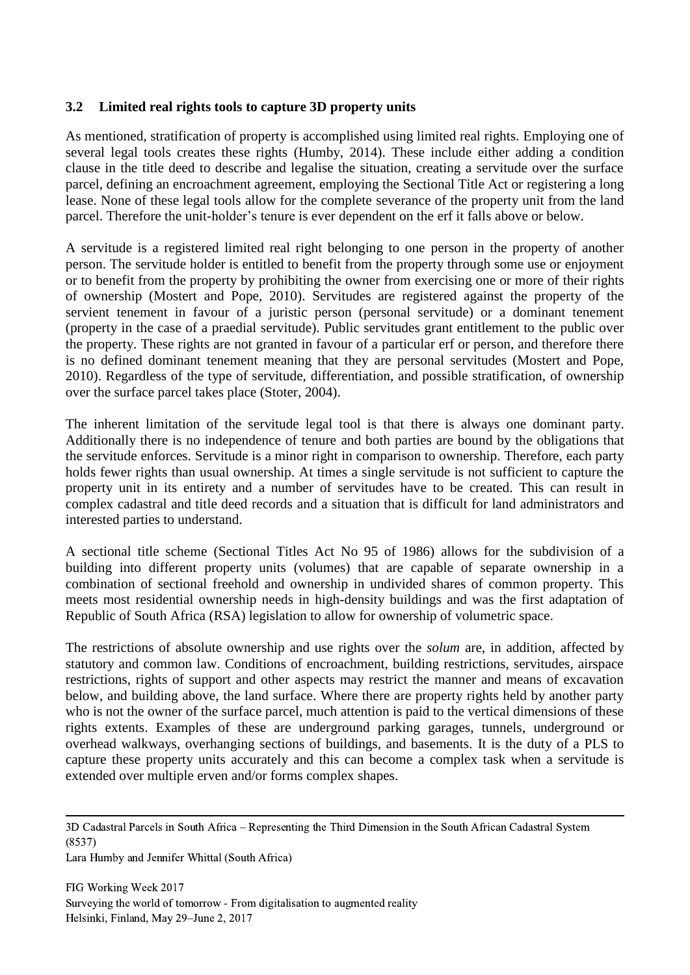#### **3.2 Limited real rights tools to capture 3D property units**

As mentioned, stratification of property is accomplished using limited real rights. Employing one of several legal tools creates these rights (Humby, 2014). These include either adding a condition clause in the title deed to describe and legalise the situation, creating a servitude over the surface parcel, defining an encroachment agreement, employing the Sectional Title Act or registering a long lease. None of these legal tools allow for the complete severance of the property unit from the land parcel. Therefore the unit-holder's tenure is ever dependent on the erf it falls above or below.

A servitude is a registered limited real right belonging to one person in the property of another person. The servitude holder is entitled to benefit from the property through some use or enjoyment or to benefit from the property by prohibiting the owner from exercising one or more of their rights of ownership (Mostert and Pope, 2010). Servitudes are registered against the property of the servient tenement in favour of a juristic person (personal servitude) or a dominant tenement (property in the case of a praedial servitude). Public servitudes grant entitlement to the public over the property. These rights are not granted in favour of a particular erf or person, and therefore there is no defined dominant tenement meaning that they are personal servitudes (Mostert and Pope, 2010). Regardless of the type of servitude, differentiation, and possible stratification, of ownership over the surface parcel takes place (Stoter, 2004).

The inherent limitation of the servitude legal tool is that there is always one dominant party. Additionally there is no independence of tenure and both parties are bound by the obligations that the servitude enforces. Servitude is a minor right in comparison to ownership. Therefore, each party holds fewer rights than usual ownership. At times a single servitude is not sufficient to capture the property unit in its entirety and a number of servitudes have to be created. This can result in complex cadastral and title deed records and a situation that is difficult for land administrators and interested parties to understand.

A sectional title scheme (Sectional Titles Act No 95 of 1986) allows for the subdivision of a building into different property units (volumes) that are capable of separate ownership in a combination of sectional freehold and ownership in undivided shares of common property. This meets most residential ownership needs in high-density buildings and was the first adaptation of Republic of South Africa (RSA) legislation to allow for ownership of volumetric space.

The restrictions of absolute ownership and use rights over the *solum* are, in addition, affected by statutory and common law. Conditions of encroachment, building restrictions, servitudes, airspace restrictions, rights of support and other aspects may restrict the manner and means of excavation below, and building above, the land surface. Where there are property rights held by another party who is not the owner of the surface parcel, much attention is paid to the vertical dimensions of these rights extents. Examples of these are underground parking garages, tunnels, underground or overhead walkways, overhanging sections of buildings, and basements. It is the duty of a PLS to capture these property units accurately and this can become a complex task when a servitude is extended over multiple erven and/or forms complex shapes.

Lara Humby and Jennifer Whittal (South Africa)

<sup>3</sup>D Cadastral Parcels in South Africa – Representing the Third Dimension in the South African Cadastral System (8537)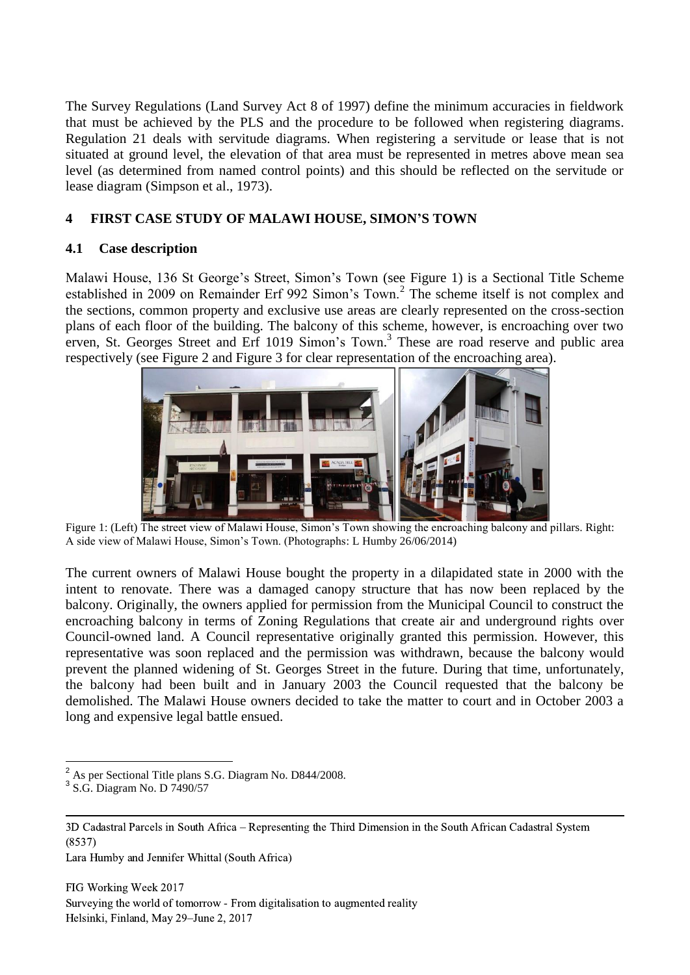The Survey Regulations (Land Survey Act 8 of 1997) define the minimum accuracies in fieldwork that must be achieved by the PLS and the procedure to be followed when registering diagrams. Regulation 21 deals with servitude diagrams. When registering a servitude or lease that is not situated at ground level, the elevation of that area must be represented in metres above mean sea level (as determined from named control points) and this should be reflected on the servitude or lease diagram (Simpson et al., 1973).

# **4 FIRST CASE STUDY OF MALAWI HOUSE, SIMON'S TOWN**

# **4.1 Case description**

Malawi House, 136 St George's Street, Simon's Town (see Figure 1) is a Sectional Title Scheme established in 2009 on Remainder Erf 992 Simon's Town.<sup>2</sup> The scheme itself is not complex and the sections, common property and exclusive use areas are clearly represented on the cross-section plans of each floor of the building. The balcony of this scheme, however, is encroaching over two erven, St. Georges Street and Erf 1019 Simon's Town.<sup>3</sup> These are road reserve and public area respectively (see Figure 2 and Figure 3 for clear representation of the encroaching area).



Figure 1: (Left) The street view of Malawi House, Simon's Town showing the encroaching balcony and pillars. Right: A side view of Malawi House, Simon's Town. (Photographs: L Humby 26/06/2014)

The current owners of Malawi House bought the property in a dilapidated state in 2000 with the intent to renovate. There was a damaged canopy structure that has now been replaced by the balcony. Originally, the owners applied for permission from the Municipal Council to construct the encroaching balcony in terms of Zoning Regulations that create air and underground rights over Council-owned land. A Council representative originally granted this permission. However, this representative was soon replaced and the permission was withdrawn, because the balcony would prevent the planned widening of St. Georges Street in the future. During that time, unfortunately, the balcony had been built and in January 2003 the Council requested that the balcony be demolished. The Malawi House owners decided to take the matter to court and in October 2003 a long and expensive legal battle ensued.

Lara Humby and Jennifer Whittal (South Africa)

<sup>1</sup>  $^{2}$  As per Sectional Title plans S.G. Diagram No. D844/2008.

<sup>3</sup> S.G. Diagram No. D 7490/57

<sup>3</sup>D Cadastral Parcels in South Africa – Representing the Third Dimension in the South African Cadastral System (8537)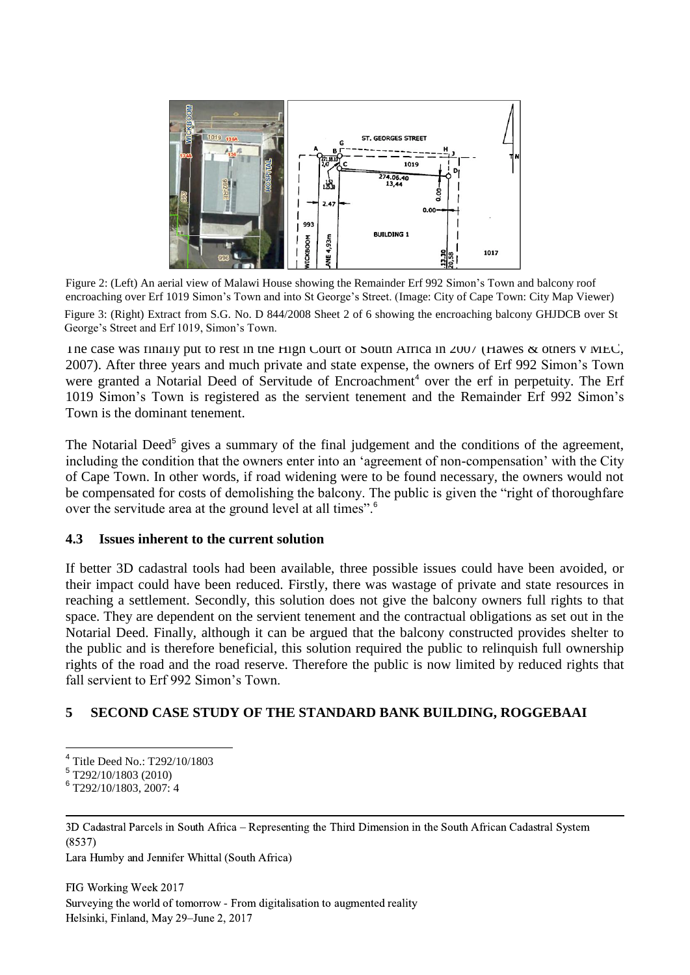

Figure 2: (Left) An aerial view of Malawi House showing the Remainder Erf 992 Simon's Town and balcony roof encroaching over Erf 1019 Simon's Town and into St George's Street. (Image: City of Cape Town: City Map Viewer)

Figure 3: (Right) Extract from S.G. No. D 844/2008 Sheet 2 of 6 showing the encroaching balcony GHJDCB over St George's Street and Erf 1019, Simon's Town.

The case was finally put to rest in the High Court of South Africa in 2007 (Hawes & others v MEC, 2007). After three years and much private and state expense, the owners of Erf 992 Simon's Town were granted a Notarial Deed of Servitude of Encroachment<sup>4</sup> over the erf in perpetuity. The Erf 1019 Simon's Town is registered as the servient tenement and the Remainder Erf 992 Simon's Town is the dominant tenement.

The Notarial Deed<sup>5</sup> gives a summary of the final judgement and the conditions of the agreement, including the condition that the owners enter into an 'agreement of non-compensation' with the City of Cape Town. In other words, if road widening were to be found necessary, the owners would not be compensated for costs of demolishing the balcony. The public is given the "right of thoroughfare over the servitude area at the ground level at all times".<sup>6</sup>

#### **4.3 Issues inherent to the current solution**

If better 3D cadastral tools had been available, three possible issues could have been avoided, or their impact could have been reduced. Firstly, there was wastage of private and state resources in reaching a settlement. Secondly, this solution does not give the balcony owners full rights to that space. They are dependent on the servient tenement and the contractual obligations as set out in the Notarial Deed. Finally, although it can be argued that the balcony constructed provides shelter to the public and is therefore beneficial, this solution required the public to relinquish full ownership rights of the road and the road reserve. Therefore the public is now limited by reduced rights that fall servient to Erf 992 Simon's Town.

# **5 SECOND CASE STUDY OF THE STANDARD BANK BUILDING, ROGGEBAAI**

<u>.</u>

Lara Humby and Jennifer Whittal (South Africa)

<sup>4</sup> Title Deed No.: T292/10/1803

<sup>5</sup> T292/10/1803 (2010)

<sup>6</sup> T292/10/1803, 2007: 4

<sup>3</sup>D Cadastral Parcels in South Africa – Representing the Third Dimension in the South African Cadastral System (8537)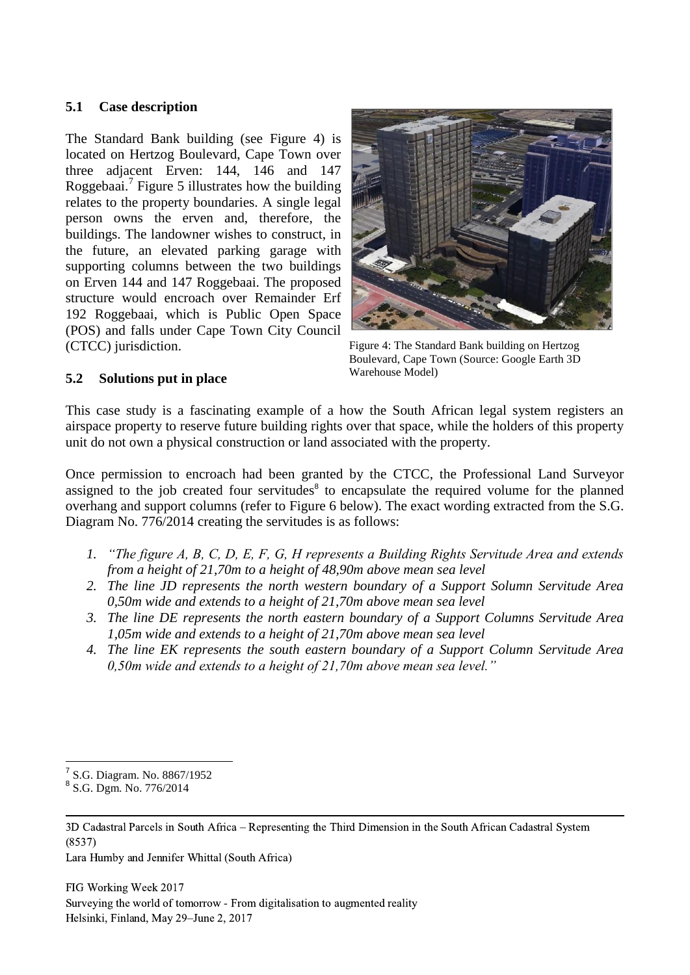#### **5.1 Case description**

The Standard Bank building (see Figure 4) is located on Hertzog Boulevard, Cape Town over three adjacent Erven: 144, 146 and 147 Roggebaai.<sup>7</sup> Figure 5 illustrates how the building relates to the property boundaries. A single legal person owns the erven and, therefore, the buildings. The landowner wishes to construct, in the future, an elevated parking garage with supporting columns between the two buildings on Erven 144 and 147 Roggebaai. The proposed structure would encroach over Remainder Erf 192 Roggebaai, which is Public Open Space (POS) and falls under Cape Town City Council (CTCC) jurisdiction.



Figure 4: The Standard Bank building on Hertzog Boulevard, Cape Town (Source: Google Earth 3D Warehouse Model)

# **5.2 Solutions put in place**

This case study is a fascinating example of a how the South African legal system registers an airspace property to reserve future building rights over that space, while the holders of this property unit do not own a physical construction or land associated with the property.

Once permission to encroach had been granted by the CTCC, the Professional Land Surveyor assigned to the job created four servitudes $\delta$  to encapsulate the required volume for the planned overhang and support columns (refer to Figure 6 below). The exact wording extracted from the S.G. Diagram No. 776/2014 creating the servitudes is as follows:

- *1. "The figure A, B, C, D, E, F, G, H represents a Building Rights Servitude Area and extends from a height of 21,70m to a height of 48,90m above mean sea level*
- *2. The line JD represents the north western boundary of a Support Solumn Servitude Area 0,50m wide and extends to a height of 21,70m above mean sea level*
- *3. The line DE represents the north eastern boundary of a Support Columns Servitude Area 1,05m wide and extends to a height of 21,70m above mean sea level*
- *4. The line EK represents the south eastern boundary of a Support Column Servitude Area 0,50m wide and extends to a height of 21,70m above mean sea level."*

Lara Humby and Jennifer Whittal (South Africa)

 7 S.G. Diagram. No. 8867/1952

<sup>&</sup>lt;sup>8</sup> S.G. Dgm. No. 776/2014

<sup>3</sup>D Cadastral Parcels in South Africa – Representing the Third Dimension in the South African Cadastral System (8537)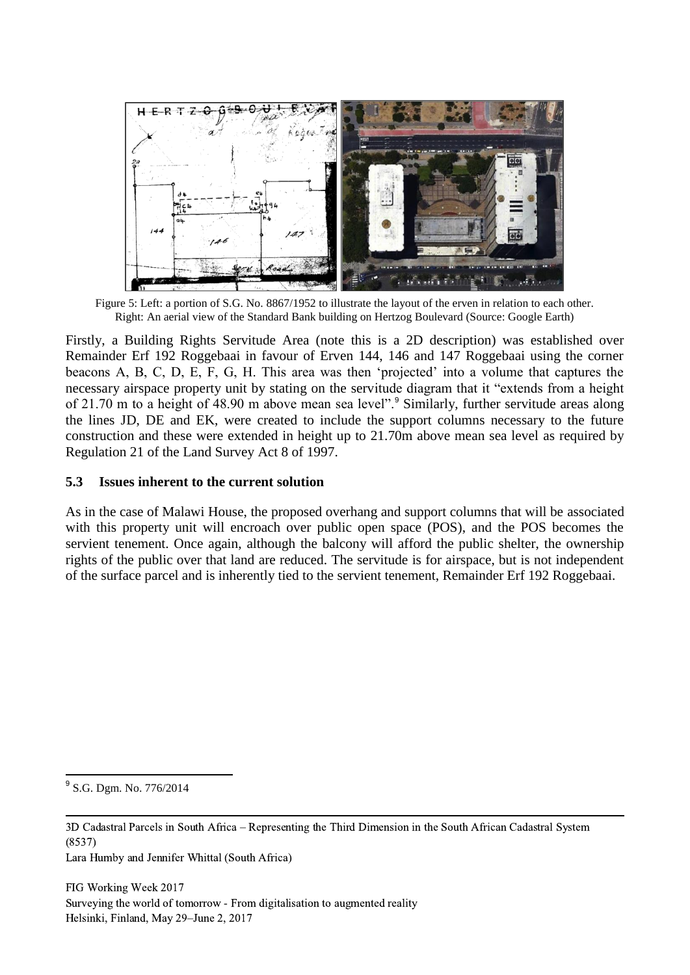

Figure 5: Left: a portion of S.G. No. 8867/1952 to illustrate the layout of the erven in relation to each other. Right: An aerial view of the Standard Bank building on Hertzog Boulevard (Source: Google Earth)

Firstly, a Building Rights Servitude Area (note this is a 2D description) was established over Remainder Erf 192 Roggebaai in favour of Erven 144, 146 and 147 Roggebaai using the corner beacons A, B, C, D, E, F, G, H. This area was then 'projected' into a volume that captures the necessary airspace property unit by stating on the servitude diagram that it "extends from a height of 21.70 m to a height of 48.90 m above mean sea level".<sup>9</sup> Similarly, further servitude areas along the lines JD, DE and EK, were created to include the support columns necessary to the future construction and these were extended in height up to 21.70m above mean sea level as required by Regulation 21 of the Land Survey Act 8 of 1997.

#### **5.3 Issues inherent to the current solution**

As in the case of Malawi House, the proposed overhang and support columns that will be associated with this property unit will encroach over public open space (POS), and the POS becomes the servient tenement. Once again, although the balcony will afford the public shelter, the ownership rights of the public over that land are reduced. The servitude is for airspace, but is not independent of the surface parcel and is inherently tied to the servient tenement, Remainder Erf 192 Roggebaai.

1

<sup>&</sup>lt;sup>9</sup> S.G. Dgm. No. 776/2014

<sup>3</sup>D Cadastral Parcels in South Africa – Representing the Third Dimension in the South African Cadastral System (8537)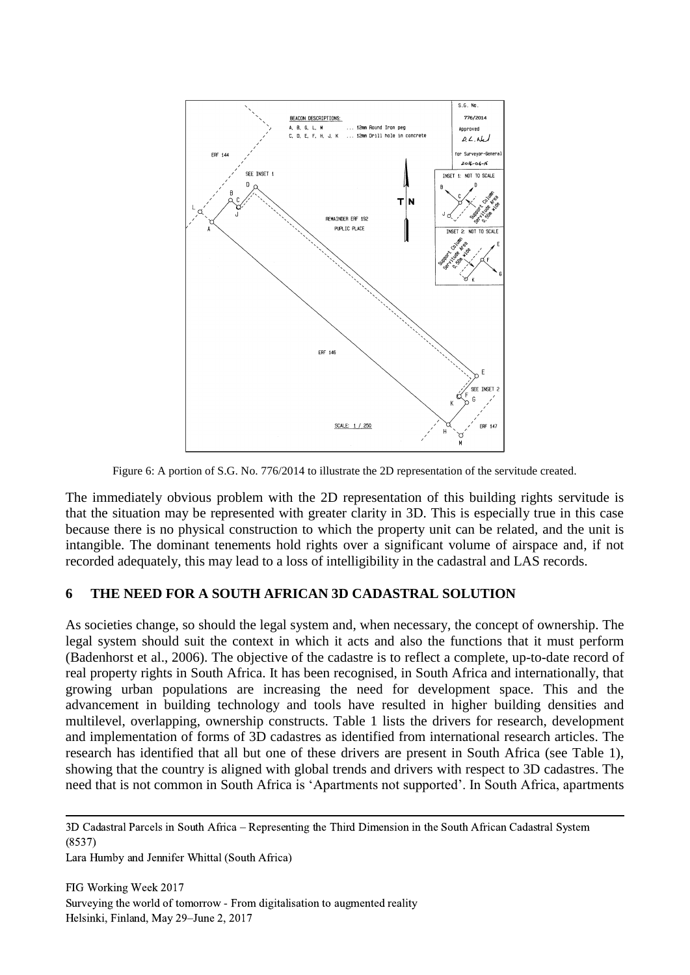

Figure 6: A portion of S.G. No. 776/2014 to illustrate the 2D representation of the servitude created.

The immediately obvious problem with the 2D representation of this building rights servitude is that the situation may be represented with greater clarity in 3D. This is especially true in this case because there is no physical construction to which the property unit can be related, and the unit is intangible. The dominant tenements hold rights over a significant volume of airspace and, if not recorded adequately, this may lead to a loss of intelligibility in the cadastral and LAS records.

#### **6 THE NEED FOR A SOUTH AFRICAN 3D CADASTRAL SOLUTION**

As societies change, so should the legal system and, when necessary, the concept of ownership. The legal system should suit the context in which it acts and also the functions that it must perform (Badenhorst et al., 2006). The objective of the cadastre is to reflect a complete, up-to-date record of real property rights in South Africa. It has been recognised, in South Africa and internationally, that growing urban populations are increasing the need for development space. This and the advancement in building technology and tools have resulted in higher building densities and multilevel, overlapping, ownership constructs. Table 1 lists the drivers for research, development and implementation of forms of 3D cadastres as identified from international research articles. The research has identified that all but one of these drivers are present in South Africa (see Table 1), showing that the country is aligned with global trends and drivers with respect to 3D cadastres. The need that is not common in South Africa is 'Apartments not supported'. In South Africa, apartments

Lara Humby and Jennifer Whittal (South Africa)

<sup>3</sup>D Cadastral Parcels in South Africa – Representing the Third Dimension in the South African Cadastral System (8537)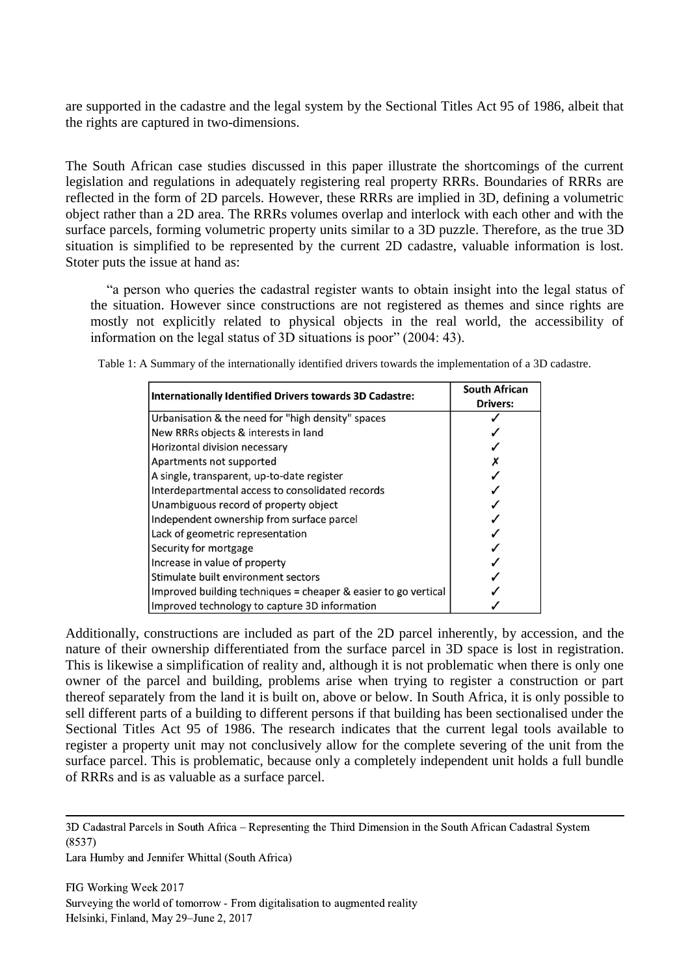are supported in the cadastre and the legal system by the Sectional Titles Act 95 of 1986, albeit that the rights are captured in two-dimensions.

The South African case studies discussed in this paper illustrate the shortcomings of the current legislation and regulations in adequately registering real property RRRs. Boundaries of RRRs are reflected in the form of 2D parcels. However, these RRRs are implied in 3D, defining a volumetric object rather than a 2D area. The RRRs volumes overlap and interlock with each other and with the surface parcels, forming volumetric property units similar to a 3D puzzle. Therefore, as the true 3D situation is simplified to be represented by the current 2D cadastre, valuable information is lost. Stoter puts the issue at hand as:

"a person who queries the cadastral register wants to obtain insight into the legal status of the situation. However since constructions are not registered as themes and since rights are mostly not explicitly related to physical objects in the real world, the accessibility of information on the legal status of 3D situations is poor" (2004: 43).

| <b>Internationally Identified Drivers towards 3D Cadastre:</b> | <b>South African</b><br><b>Drivers:</b> |
|----------------------------------------------------------------|-----------------------------------------|
| Urbanisation & the need for "high density" spaces              |                                         |
| New RRRs objects & interests in land                           |                                         |
| Horizontal division necessary                                  |                                         |
| Apartments not supported                                       |                                         |
| A single, transparent, up-to-date register                     |                                         |
| Interdepartmental access to consolidated records               |                                         |
| Unambiguous record of property object                          |                                         |
| Independent ownership from surface parcel                      |                                         |
| Lack of geometric representation                               |                                         |
| Security for mortgage                                          |                                         |
| Increase in value of property                                  |                                         |
| Stimulate built environment sectors                            |                                         |
| Improved building techniques = cheaper & easier to go vertical |                                         |
| Improved technology to capture 3D information                  |                                         |

Table 1: A Summary of the internationally identified drivers towards the implementation of a 3D cadastre.

Additionally, constructions are included as part of the 2D parcel inherently, by accession, and the nature of their ownership differentiated from the surface parcel in 3D space is lost in registration. This is likewise a simplification of reality and, although it is not problematic when there is only one owner of the parcel and building, problems arise when trying to register a construction or part thereof separately from the land it is built on, above or below. In South Africa, it is only possible to sell different parts of a building to different persons if that building has been sectionalised under the Sectional Titles Act 95 of 1986. The research indicates that the current legal tools available to register a property unit may not conclusively allow for the complete severing of the unit from the surface parcel. This is problematic, because only a completely independent unit holds a full bundle of RRRs and is as valuable as a surface parcel.

3D Cadastral Parcels in South Africa – Representing the Third Dimension in the South African Cadastral System (8537)

Lara Humby and Jennifer Whittal (South Africa)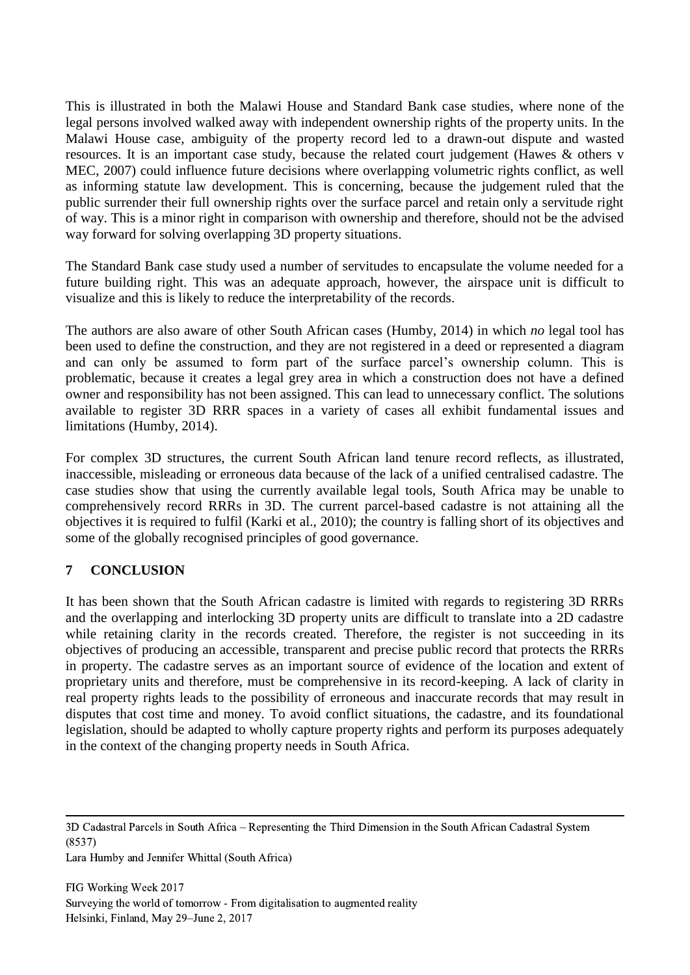This is illustrated in both the Malawi House and Standard Bank case studies, where none of the legal persons involved walked away with independent ownership rights of the property units. In the Malawi House case, ambiguity of the property record led to a drawn-out dispute and wasted resources. It is an important case study, because the related court judgement (Hawes & others v MEC, 2007) could influence future decisions where overlapping volumetric rights conflict, as well as informing statute law development. This is concerning, because the judgement ruled that the public surrender their full ownership rights over the surface parcel and retain only a servitude right of way. This is a minor right in comparison with ownership and therefore, should not be the advised way forward for solving overlapping 3D property situations.

The Standard Bank case study used a number of servitudes to encapsulate the volume needed for a future building right. This was an adequate approach, however, the airspace unit is difficult to visualize and this is likely to reduce the interpretability of the records.

The authors are also aware of other South African cases (Humby, 2014) in which *no* legal tool has been used to define the construction, and they are not registered in a deed or represented a diagram and can only be assumed to form part of the surface parcel's ownership column. This is problematic, because it creates a legal grey area in which a construction does not have a defined owner and responsibility has not been assigned. This can lead to unnecessary conflict. The solutions available to register 3D RRR spaces in a variety of cases all exhibit fundamental issues and limitations (Humby, 2014).

For complex 3D structures, the current South African land tenure record reflects, as illustrated, inaccessible, misleading or erroneous data because of the lack of a unified centralised cadastre. The case studies show that using the currently available legal tools, South Africa may be unable to comprehensively record RRRs in 3D. The current parcel-based cadastre is not attaining all the objectives it is required to fulfil (Karki et al., 2010); the country is falling short of its objectives and some of the globally recognised principles of good governance.

# **7 CONCLUSION**

It has been shown that the South African cadastre is limited with regards to registering 3D RRRs and the overlapping and interlocking 3D property units are difficult to translate into a 2D cadastre while retaining clarity in the records created. Therefore, the register is not succeeding in its objectives of producing an accessible, transparent and precise public record that protects the RRRs in property. The cadastre serves as an important source of evidence of the location and extent of proprietary units and therefore, must be comprehensive in its record-keeping. A lack of clarity in real property rights leads to the possibility of erroneous and inaccurate records that may result in disputes that cost time and money. To avoid conflict situations, the cadastre, and its foundational legislation, should be adapted to wholly capture property rights and perform its purposes adequately in the context of the changing property needs in South Africa.

<sup>3</sup>D Cadastral Parcels in South Africa – Representing the Third Dimension in the South African Cadastral System (8537)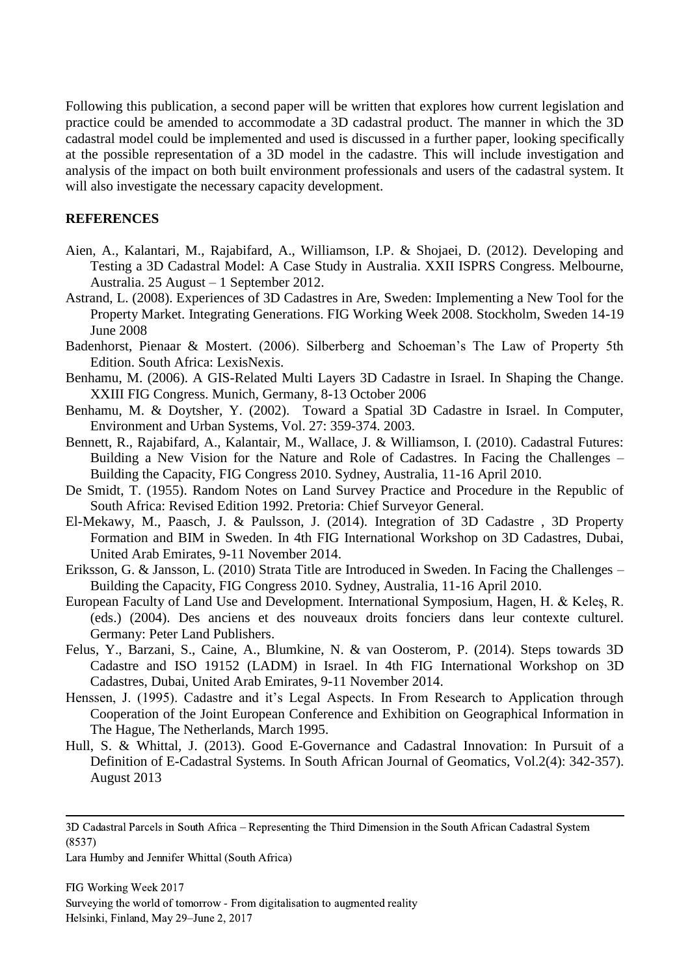Following this publication, a second paper will be written that explores how current legislation and practice could be amended to accommodate a 3D cadastral product. The manner in which the 3D cadastral model could be implemented and used is discussed in a further paper, looking specifically at the possible representation of a 3D model in the cadastre. This will include investigation and analysis of the impact on both built environment professionals and users of the cadastral system. It will also investigate the necessary capacity development.

#### **REFERENCES**

- Aien, A., Kalantari, M., Rajabifard, A., Williamson, I.P. & Shojaei, D. (2012). Developing and Testing a 3D Cadastral Model: A Case Study in Australia. XXII ISPRS Congress. Melbourne, Australia. 25 August – 1 September 2012.
- Astrand, L. (2008). Experiences of 3D Cadastres in Are, Sweden: Implementing a New Tool for the Property Market. Integrating Generations. FIG Working Week 2008. Stockholm, Sweden 14-19 June 2008
- Badenhorst, Pienaar & Mostert. (2006). Silberberg and Schoeman's The Law of Property 5th Edition. South Africa: LexisNexis.
- Benhamu, M. (2006). A GIS-Related Multi Layers 3D Cadastre in Israel. In Shaping the Change. XXIII FIG Congress. Munich, Germany, 8-13 October 2006
- Benhamu, M. & Doytsher, Y. (2002). Toward a Spatial 3D Cadastre in Israel. In Computer, Environment and Urban Systems, Vol. 27: 359-374. 2003.
- Bennett, R., Rajabifard, A., Kalantair, M., Wallace, J. & Williamson, I. (2010). Cadastral Futures: Building a New Vision for the Nature and Role of Cadastres. In Facing the Challenges – Building the Capacity, FIG Congress 2010. Sydney, Australia, 11-16 April 2010.
- De Smidt, T. (1955). Random Notes on Land Survey Practice and Procedure in the Republic of South Africa: Revised Edition 1992. Pretoria: Chief Surveyor General.
- El-Mekawy, M., Paasch, J. & Paulsson, J. (2014). Integration of 3D Cadastre , 3D Property Formation and BIM in Sweden. In 4th FIG International Workshop on 3D Cadastres, Dubai, United Arab Emirates, 9-11 November 2014.
- Eriksson, G. & Jansson, L. (2010) Strata Title are Introduced in Sweden. In Facing the Challenges Building the Capacity, FIG Congress 2010. Sydney, Australia, 11-16 April 2010.
- European Faculty of Land Use and Development. International Symposium, Hagen, H. & Keleş, R. (eds.) (2004). Des anciens et des nouveaux droits fonciers dans leur contexte culturel. Germany: Peter Land Publishers.
- Felus, Y., Barzani, S., Caine, A., Blumkine, N. & van Oosterom, P. (2014). Steps towards 3D Cadastre and ISO 19152 (LADM) in Israel. In 4th FIG International Workshop on 3D Cadastres, Dubai, United Arab Emirates, 9-11 November 2014.
- Henssen, J. (1995). Cadastre and it's Legal Aspects. In From Research to Application through Cooperation of the Joint European Conference and Exhibition on Geographical Information in The Hague, The Netherlands, March 1995.
- Hull, S. & Whittal, J. (2013). Good E-Governance and Cadastral Innovation: In Pursuit of a Definition of E-Cadastral Systems. In South African Journal of Geomatics, Vol.2(4): 342-357). August 2013

<sup>3</sup>D Cadastral Parcels in South Africa – Representing the Third Dimension in the South African Cadastral System (8537)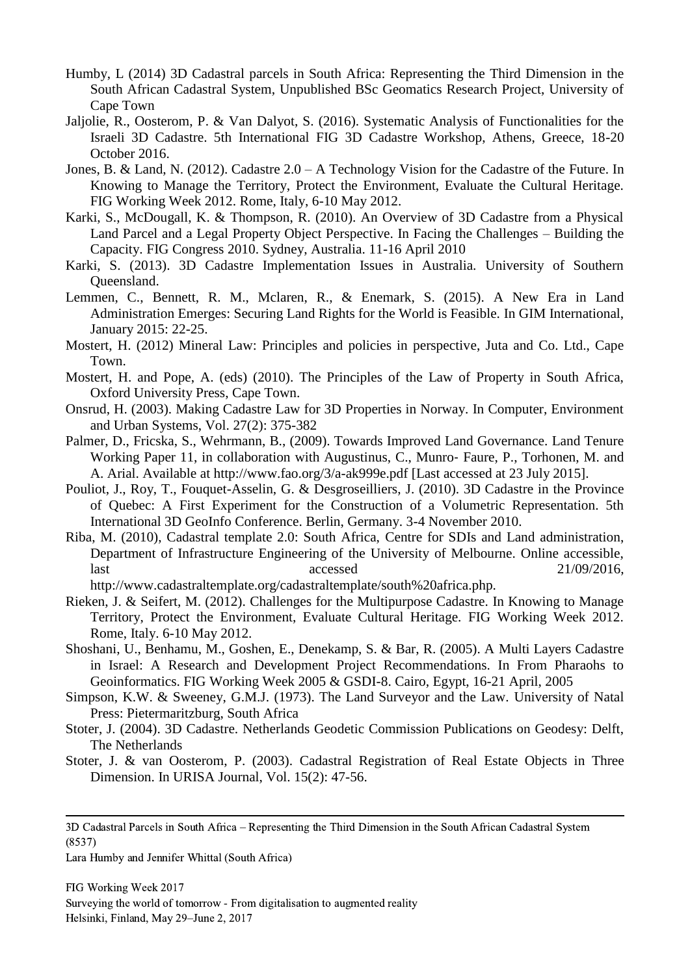- Humby, L (2014) 3D Cadastral parcels in South Africa: Representing the Third Dimension in the South African Cadastral System, Unpublished BSc Geomatics Research Project, University of Cape Town
- Jaljolie, R., Oosterom, P. & Van Dalyot, S. (2016). Systematic Analysis of Functionalities for the Israeli 3D Cadastre. 5th International FIG 3D Cadastre Workshop, Athens, Greece, 18-20 October 2016.
- Jones, B. & Land, N. (2012). Cadastre 2.0 A Technology Vision for the Cadastre of the Future. In Knowing to Manage the Territory, Protect the Environment, Evaluate the Cultural Heritage. FIG Working Week 2012. Rome, Italy, 6-10 May 2012.
- Karki, S., McDougall, K. & Thompson, R. (2010). An Overview of 3D Cadastre from a Physical Land Parcel and a Legal Property Object Perspective. In Facing the Challenges – Building the Capacity. FIG Congress 2010. Sydney, Australia. 11-16 April 2010
- Karki, S. (2013). 3D Cadastre Implementation Issues in Australia. University of Southern Queensland.
- Lemmen, C., Bennett, R. M., Mclaren, R., & Enemark, S. (2015). A New Era in Land Administration Emerges: Securing Land Rights for the World is Feasible. In GIM International, January 2015: 22-25.
- Mostert, H. (2012) Mineral Law: Principles and policies in perspective, Juta and Co. Ltd., Cape Town.
- Mostert, H. and Pope, A. (eds) (2010). The Principles of the Law of Property in South Africa, Oxford University Press, Cape Town.
- Onsrud, H. (2003). Making Cadastre Law for 3D Properties in Norway. In Computer, Environment and Urban Systems, Vol. 27(2): 375-382
- Palmer, D., Fricska, S., Wehrmann, B., (2009). Towards Improved Land Governance. Land Tenure Working Paper 11, in collaboration with Augustinus, C., Munro-Faure, P., Torhonen, M. and A. Arial. Available at http://www.fao.org/3/a-ak999e.pdf [Last accessed at 23 July 2015].
- Pouliot, J., Roy, T., Fouquet-Asselin, G. & Desgroseilliers, J. (2010). 3D Cadastre in the Province of Quebec: A First Experiment for the Construction of a Volumetric Representation. 5th International 3D GeoInfo Conference. Berlin, Germany. 3-4 November 2010.
- Riba, M. (2010), Cadastral template 2.0: South Africa, Centre for SDIs and Land administration, Department of Infrastructure Engineering of the University of Melbourne. Online accessible, last accessed 21/09/2016,
	- http://www.cadastraltemplate.org/cadastraltemplate/south%20africa.php.
- Rieken, J. & Seifert, M. (2012). Challenges for the Multipurpose Cadastre. In Knowing to Manage Territory, Protect the Environment, Evaluate Cultural Heritage. FIG Working Week 2012. Rome, Italy. 6-10 May 2012.
- Shoshani, U., Benhamu, M., Goshen, E., Denekamp, S. & Bar, R. (2005). A Multi Layers Cadastre in Israel: A Research and Development Project Recommendations. In From Pharaohs to Geoinformatics. FIG Working Week 2005 & GSDI-8. Cairo, Egypt, 16-21 April, 2005
- Simpson, K.W. & Sweeney, G.M.J. (1973). The Land Surveyor and the Law. University of Natal Press: Pietermaritzburg, South Africa
- Stoter, J. (2004). 3D Cadastre. Netherlands Geodetic Commission Publications on Geodesy: Delft, The Netherlands
- Stoter, J. & van Oosterom, P. (2003). Cadastral Registration of Real Estate Objects in Three Dimension. In URISA Journal, Vol. 15(2): 47-56.

<sup>3</sup>D Cadastral Parcels in South Africa – Representing the Third Dimension in the South African Cadastral System (8537)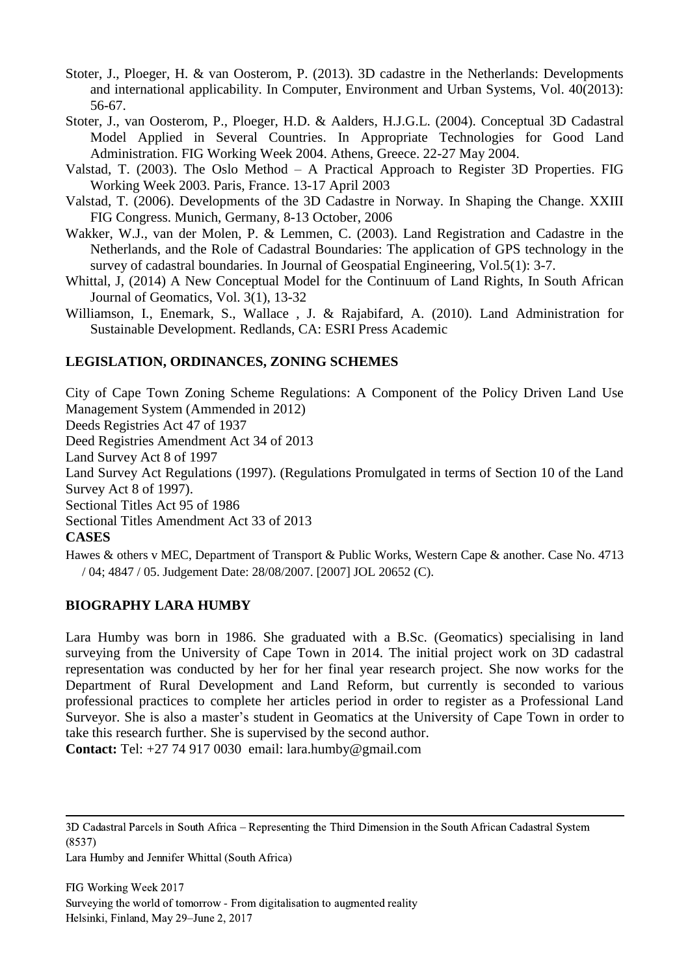- Stoter, J., Ploeger, H. & van Oosterom, P. (2013). 3D cadastre in the Netherlands: Developments and international applicability. In Computer, Environment and Urban Systems, Vol. 40(2013): 56-67.
- Stoter, J., van Oosterom, P., Ploeger, H.D. & Aalders, H.J.G.L. (2004). Conceptual 3D Cadastral Model Applied in Several Countries. In Appropriate Technologies for Good Land Administration. FIG Working Week 2004. Athens, Greece. 22-27 May 2004.
- Valstad, T. (2003). The Oslo Method A Practical Approach to Register 3D Properties. FIG Working Week 2003. Paris, France. 13-17 April 2003
- Valstad, T. (2006). Developments of the 3D Cadastre in Norway. In Shaping the Change. XXIII FIG Congress. Munich, Germany, 8-13 October, 2006
- Wakker, W.J., van der Molen, P. & Lemmen, C. (2003). Land Registration and Cadastre in the Netherlands, and the Role of Cadastral Boundaries: The application of GPS technology in the survey of cadastral boundaries. In Journal of Geospatial Engineering, Vol.5(1): 3-7.
- Whittal, J, (2014) A New Conceptual Model for the Continuum of Land Rights, In South African Journal of Geomatics, Vol. 3(1), 13-32
- Williamson, I., Enemark, S., Wallace , J. & Rajabifard, A. (2010). Land Administration for Sustainable Development. Redlands, CA: ESRI Press Academic

# **LEGISLATION, ORDINANCES, ZONING SCHEMES**

City of Cape Town Zoning Scheme Regulations: A Component of the Policy Driven Land Use Management System (Ammended in 2012)

Deeds Registries Act 47 of 1937

Deed Registries Amendment Act 34 of 2013

Land Survey Act 8 of 1997

Land Survey Act Regulations (1997). (Regulations Promulgated in terms of Section 10 of the Land Survey Act 8 of 1997).

Sectional Titles Act 95 of 1986

Sectional Titles Amendment Act 33 of 2013

#### **CASES**

Hawes & others v MEC, Department of Transport & Public Works, Western Cape & another. Case No. 4713 / 04; 4847 / 05. Judgement Date: 28/08/2007. [2007] JOL 20652 (C).

#### **BIOGRAPHY LARA HUMBY**

Lara Humby was born in 1986. She graduated with a B.Sc. (Geomatics) specialising in land surveying from the University of Cape Town in 2014. The initial project work on 3D cadastral representation was conducted by her for her final year research project. She now works for the Department of Rural Development and Land Reform, but currently is seconded to various professional practices to complete her articles period in order to register as a Professional Land Surveyor. She is also a master's student in Geomatics at the University of Cape Town in order to take this research further. She is supervised by the second author.

**Contact:** Tel: +27 74 917 0030 email: lara.humby@gmail.com

<sup>3</sup>D Cadastral Parcels in South Africa – Representing the Third Dimension in the South African Cadastral System (8537)